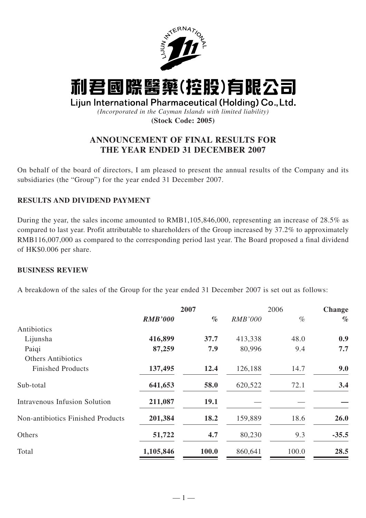

# 利君國際醫藥(控股)有限公司

# Lijun International Pharmaceutical (Holding) Co., Ltd.

*(Incorporated in the Cayman Islands with limited liability)* **(Stock Code: 2005)**

# **ANNOUNCEMENT OF FINAL RESULTS FOR THE YEAR ENDED 31 DECEMBER 2007**

On behalf of the board of directors, I am pleased to present the annual results of the Company and its subsidiaries (the "Group") for the year ended 31 December 2007.

# **RESULTS AND DIVIDEND PAYMENT**

During the year, the sales income amounted to RMB1,105,846,000, representing an increase of 28.5% as compared to last year. Profit attributable to shareholders of the Group increased by 37.2% to approximately RMB116,007,000 as compared to the corresponding period last year. The Board proposed a final dividend of HK\$0.006 per share.

## **BUSINESS REVIEW**

A breakdown of the sales of the Group for the year ended 31 December 2007 is set out as follows:

|                                      |                | 2007  |                | 2006  | Change  |
|--------------------------------------|----------------|-------|----------------|-------|---------|
|                                      | <b>RMB'000</b> | $\%$  | <b>RMB'000</b> | $\%$  | $\%$    |
| Antibiotics                          |                |       |                |       |         |
| Lijunsha                             | 416,899        | 37.7  | 413,338        | 48.0  | 0.9     |
| Paigi                                | 87,259         | 7.9   | 80,996         | 9.4   | 7.7     |
| <b>Others Antibiotics</b>            |                |       |                |       |         |
| <b>Finished Products</b>             | 137,495        | 12.4  | 126,188        | 14.7  | 9.0     |
| Sub-total                            | 641,653        | 58.0  | 620,522        | 72.1  | 3.4     |
| <b>Intravenous Infusion Solution</b> | 211,087        | 19.1  |                |       |         |
| Non-antibiotics Finished Products    | 201,384        | 18.2  | 159,889        | 18.6  | 26.0    |
| Others                               | 51,722         | 4.7   | 80,230         | 9.3   | $-35.5$ |
| Total                                | 1,105,846      | 100.0 | 860,641        | 100.0 | 28.5    |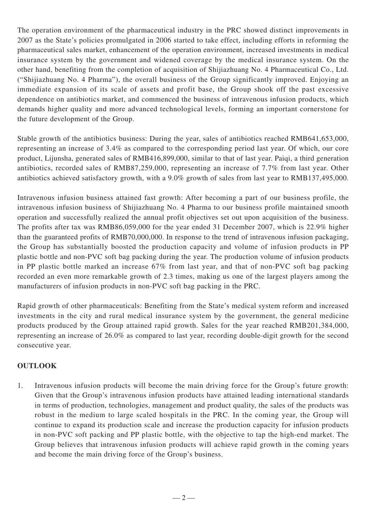The operation environment of the pharmaceutical industry in the PRC showed distinct improvements in 2007 as the State's policies promulgated in 2006 started to take effect, including efforts in reforming the pharmaceutical sales market, enhancement of the operation environment, increased investments in medical insurance system by the government and widened coverage by the medical insurance system. On the other hand, benefiting from the completion of acquisition of Shijiazhuang No. 4 Pharmaceutical Co., Ltd. ("Shijiazhuang No. 4 Pharma"), the overall business of the Group significantly improved. Enjoying an immediate expansion of its scale of assets and profit base, the Group shook off the past excessive dependence on antibiotics market, and commenced the business of intravenous infusion products, which demands higher quality and more advanced technological levels, forming an important cornerstone for the future development of the Group.

Stable growth of the antibiotics business: During the year, sales of antibiotics reached RMB641,653,000, representing an increase of 3.4% as compared to the corresponding period last year. Of which, our core product, Lijunsha, generated sales of RMB416,899,000, similar to that of last year. Paiqi, a third generation antibiotics, recorded sales of RMB87,259,000, representing an increase of 7.7% from last year. Other antibiotics achieved satisfactory growth, with a 9.0% growth of sales from last year to RMB137,495,000.

Intravenous infusion business attained fast growth: After becoming a part of our business profile, the intravenous infusion business of Shijiazhuang No. 4 Pharma to our business profile maintained smooth operation and successfully realized the annual profit objectives set out upon acquisition of the business. The profits after tax was RMB86,059,000 for the year ended 31 December 2007, which is 22.9% higher than the guaranteed profits of RMB70,000,000. In response to the trend of intravenous infusion packaging, the Group has substantially boosted the production capacity and volume of infusion products in PP plastic bottle and non-PVC soft bag packing during the year. The production volume of infusion products in PP plastic bottle marked an increase 67% from last year, and that of non-PVC soft bag packing recorded an even more remarkable growth of 2.3 times, making us one of the largest players among the manufacturers of infusion products in non-PVC soft bag packing in the PRC.

Rapid growth of other pharmaceuticals: Benefiting from the State's medical system reform and increased investments in the city and rural medical insurance system by the government, the general medicine products produced by the Group attained rapid growth. Sales for the year reached RMB201,384,000, representing an increase of 26.0% as compared to last year, recording double-digit growth for the second consecutive year.

# **OUTLOOK**

1. Intravenous infusion products will become the main driving force for the Group's future growth: Given that the Group's intravenous infusion products have attained leading international standards in terms of production, technologies, management and product quality, the sales of the products was robust in the medium to large scaled hospitals in the PRC. In the coming year, the Group will continue to expand its production scale and increase the production capacity for infusion products in non-PVC soft packing and PP plastic bottle, with the objective to tap the high-end market. The Group believes that intravenous infusion products will achieve rapid growth in the coming years and become the main driving force of the Group's business.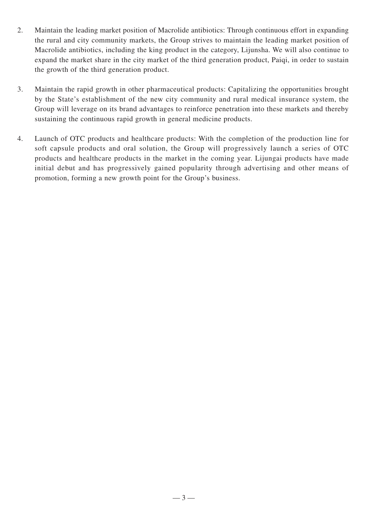- 2. Maintain the leading market position of Macrolide antibiotics: Through continuous effort in expanding the rural and city community markets, the Group strives to maintain the leading market position of Macrolide antibiotics, including the king product in the category, Lijunsha. We will also continue to expand the market share in the city market of the third generation product, Paiqi, in order to sustain the growth of the third generation product.
- 3. Maintain the rapid growth in other pharmaceutical products: Capitalizing the opportunities brought by the State's establishment of the new city community and rural medical insurance system, the Group will leverage on its brand advantages to reinforce penetration into these markets and thereby sustaining the continuous rapid growth in general medicine products.
- 4. Launch of OTC products and healthcare products: With the completion of the production line for soft capsule products and oral solution, the Group will progressively launch a series of OTC products and healthcare products in the market in the coming year. Lijungai products have made initial debut and has progressively gained popularity through advertising and other means of promotion, forming a new growth point for the Group's business.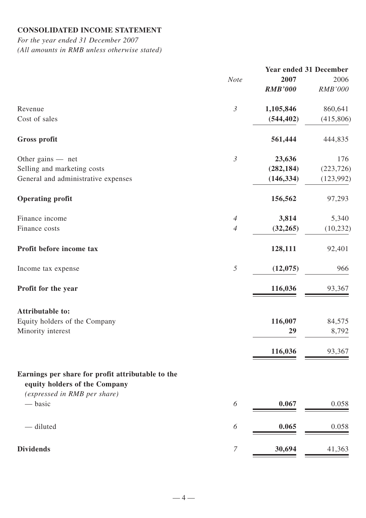## **CONSOLIDATED INCOME STATEMENT**

*For the year ended 31 December 2007 (All amounts in RMB unless otherwise stated)*

|                | <b>Year ended 31 December</b> |                |
|----------------|-------------------------------|----------------|
| <b>Note</b>    | 2007                          | 2006           |
|                | <b>RMB'000</b>                | <b>RMB'000</b> |
| $\mathfrak{Z}$ | 1,105,846                     | 860,641        |
|                | (544, 402)                    | (415,806)      |
|                | 561,444                       | 444,835        |
| $\mathfrak{Z}$ | 23,636                        | 176            |
|                | (282, 184)                    | (223, 726)     |
|                | (146, 334)                    | (123,992)      |
|                | 156,562                       | 97,293         |
| $\overline{4}$ | 3,814                         | 5,340          |
| $\overline{4}$ | (32, 265)                     | (10, 232)      |
|                | 128,111                       | 92,401         |
| $\mathfrak{H}$ | (12,075)                      | 966            |
|                | 116,036                       | 93,367         |
|                |                               |                |
|                |                               | 84,575         |
|                | 29                            | 8,792          |
|                | 116,036                       | 93,367         |
|                |                               |                |
| 6              | 0.067                         | 0.058          |
| 6              | 0.065                         | 0.058          |
| $\overline{7}$ | 30,694                        | 41,363         |
|                |                               | 116,007        |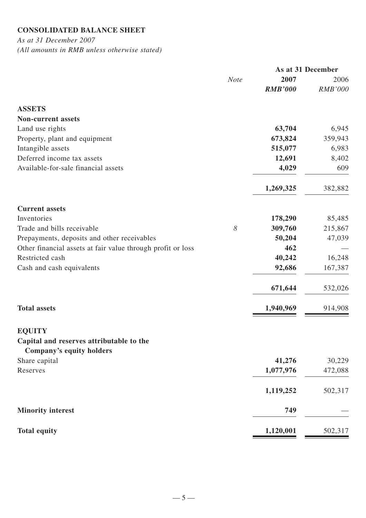# **CONSOLIDATED BALANCE SHEET**

*As at 31 December 2007 (All amounts in RMB unless otherwise stated)*

|                                                                      |             | As at 31 December      |                        |
|----------------------------------------------------------------------|-------------|------------------------|------------------------|
|                                                                      | <b>Note</b> | 2007<br><b>RMB'000</b> | 2006<br><b>RMB'000</b> |
| <b>ASSETS</b>                                                        |             |                        |                        |
| <b>Non-current assets</b>                                            |             |                        |                        |
| Land use rights                                                      |             | 63,704                 | 6,945                  |
| Property, plant and equipment                                        |             | 673,824                | 359,943                |
| Intangible assets                                                    |             | 515,077                | 6,983                  |
| Deferred income tax assets                                           |             | 12,691                 | 8,402                  |
| Available-for-sale financial assets                                  |             | 4,029                  | 609                    |
|                                                                      |             | 1,269,325              | 382,882                |
| <b>Current assets</b>                                                |             |                        |                        |
| Inventories                                                          |             | 178,290                | 85,485                 |
| Trade and bills receivable                                           | 8           | 309,760                | 215,867                |
| Prepayments, deposits and other receivables                          |             | 50,204                 | 47,039                 |
| Other financial assets at fair value through profit or loss          |             | 462                    |                        |
| Restricted cash                                                      |             | 40,242                 | 16,248                 |
| Cash and cash equivalents                                            |             | 92,686                 | 167,387                |
|                                                                      |             | 671,644                | 532,026                |
| <b>Total assets</b>                                                  |             | 1,940,969              | 914,908                |
| <b>EQUITY</b>                                                        |             |                        |                        |
| Capital and reserves attributable to the<br>Company's equity holders |             |                        |                        |
| Share capital                                                        |             | 41,276                 | 30,229                 |
| Reserves                                                             |             | 1,077,976              | 472,088                |
|                                                                      |             | 1,119,252              | 502,317                |
| <b>Minority interest</b>                                             |             | 749                    |                        |
| <b>Total equity</b>                                                  |             | 1,120,001              | 502,317                |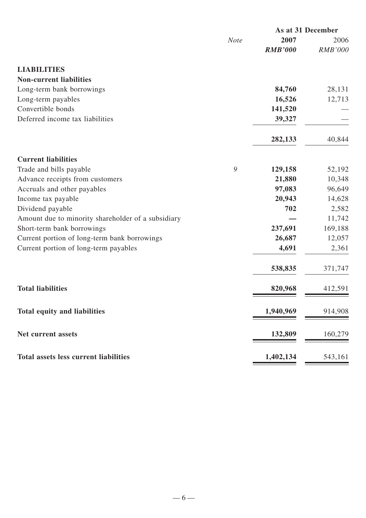|                                                    |             |                | As at 31 December |  |
|----------------------------------------------------|-------------|----------------|-------------------|--|
|                                                    | <b>Note</b> | 2007           | 2006              |  |
|                                                    |             | <b>RMB'000</b> | <b>RMB'000</b>    |  |
| <b>LIABILITIES</b>                                 |             |                |                   |  |
| <b>Non-current liabilities</b>                     |             |                |                   |  |
| Long-term bank borrowings                          |             | 84,760         | 28,131            |  |
| Long-term payables                                 |             | 16,526         | 12,713            |  |
| Convertible bonds                                  |             | 141,520        |                   |  |
| Deferred income tax liabilities                    |             | 39,327         |                   |  |
|                                                    |             | 282,133        | 40,844            |  |
|                                                    |             |                |                   |  |
| <b>Current liabilities</b>                         |             |                |                   |  |
| Trade and bills payable                            | 9           | 129,158        | 52,192            |  |
| Advance receipts from customers                    |             | 21,880         | 10,348            |  |
| Accruals and other payables                        |             | 97,083         | 96,649            |  |
| Income tax payable                                 |             | 20,943         | 14,628            |  |
| Dividend payable                                   |             | 702            | 2,582             |  |
| Amount due to minority shareholder of a subsidiary |             |                | 11,742            |  |
| Short-term bank borrowings                         |             | 237,691        | 169,188           |  |
| Current portion of long-term bank borrowings       |             | 26,687         | 12,057            |  |
| Current portion of long-term payables              |             | 4,691          | 2,361             |  |
|                                                    |             | 538,835        | 371,747           |  |
| <b>Total liabilities</b>                           |             | 820,968        | 412,591           |  |
| <b>Total equity and liabilities</b>                |             | 1,940,969      | 914,908           |  |
|                                                    |             |                |                   |  |
| Net current assets                                 |             | 132,809        | 160,279           |  |
| <b>Total assets less current liabilities</b>       |             | 1,402,134      | 543,161           |  |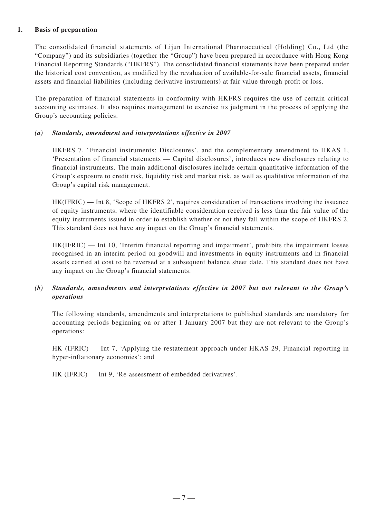#### **1. Basis of preparation**

The consolidated financial statements of Lijun International Pharmaceutical (Holding) Co., Ltd (the "Company") and its subsidiaries (together the "Group") have been prepared in accordance with Hong Kong Financial Reporting Standards ("HKFRS"). The consolidated financial statements have been prepared under the historical cost convention, as modified by the revaluation of available-for-sale financial assets, financial assets and financial liabilities (including derivative instruments) at fair value through profit or loss.

The preparation of financial statements in conformity with HKFRS requires the use of certain critical accounting estimates. It also requires management to exercise its judgment in the process of applying the Group's accounting policies.

#### *(a) Standards, amendment and interpretations effective in 2007*

HKFRS 7, 'Financial instruments: Disclosures', and the complementary amendment to HKAS 1, 'Presentation of financial statements — Capital disclosures', introduces new disclosures relating to financial instruments. The main additional disclosures include certain quantitative information of the Group's exposure to credit risk, liquidity risk and market risk, as well as qualitative information of the Group's capital risk management.

HK(IFRIC) — Int 8, 'Scope of HKFRS 2', requires consideration of transactions involving the issuance of equity instruments, where the identifiable consideration received is less than the fair value of the equity instruments issued in order to establish whether or not they fall within the scope of HKFRS 2. This standard does not have any impact on the Group's financial statements.

HK(IFRIC) — Int 10, 'Interim financial reporting and impairment', prohibits the impairment losses recognised in an interim period on goodwill and investments in equity instruments and in financial assets carried at cost to be reversed at a subsequent balance sheet date. This standard does not have any impact on the Group's financial statements.

## *(b) Standards, amendments and interpretations effective in 2007 but not relevant to the Group's operations*

The following standards, amendments and interpretations to published standards are mandatory for accounting periods beginning on or after 1 January 2007 but they are not relevant to the Group's operations:

HK (IFRIC) — Int 7, 'Applying the restatement approach under HKAS 29, Financial reporting in hyper-inflationary economies'; and

HK (IFRIC) — Int 9, 'Re-assessment of embedded derivatives'.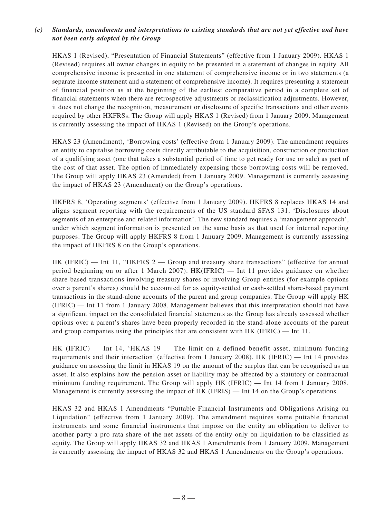## *(c) Standards, amendments and interpretations to existing standards that are not yet effective and have not been early adopted by the Group*

HKAS 1 (Revised), "Presentation of Financial Statements" (effective from 1 January 2009). HKAS 1 (Revised) requires all owner changes in equity to be presented in a statement of changes in equity. All comprehensive income is presented in one statement of comprehensive income or in two statements (a separate income statement and a statement of comprehensive income). It requires presenting a statement of financial position as at the beginning of the earliest comparative period in a complete set of financial statements when there are retrospective adjustments or reclassification adjustments. However, it does not change the recognition, measurement or disclosure of specific transactions and other events required by other HKFRSs. The Group will apply HKAS 1 (Revised) from 1 January 2009. Management is currently assessing the impact of HKAS 1 (Revised) on the Group's operations.

HKAS 23 (Amendment), 'Borrowing costs' (effective from 1 January 2009). The amendment requires an entity to capitalise borrowing costs directly attributable to the acquisition, construction or production of a qualifying asset (one that takes a substantial period of time to get ready for use or sale) as part of the cost of that asset. The option of immediately expensing those borrowing costs will be removed. The Group will apply HKAS 23 (Amended) from 1 January 2009. Management is currently assessing the impact of HKAS 23 (Amendment) on the Group's operations.

HKFRS 8, 'Operating segments' (effective from 1 January 2009). HKFRS 8 replaces HKAS 14 and aligns segment reporting with the requirements of the US standard SFAS 131, 'Disclosures about segments of an enterprise and related information'. The new standard requires a 'management approach', under which segment information is presented on the same basis as that used for internal reporting purposes. The Group will apply HKFRS 8 from 1 January 2009. Management is currently assessing the impact of HKFRS 8 on the Group's operations.

 $HK$  (IFRIC) — Int 11, "HKFRS 2 — Group and treasury share transactions" (effective for annual period beginning on or after 1 March 2007). HK(IFRIC) — Int 11 provides guidance on whether share-based transactions involving treasury shares or involving Group entities (for example options over a parent's shares) should be accounted for as equity-settled or cash-settled share-based payment transactions in the stand-alone accounts of the parent and group companies. The Group will apply HK (IFRIC) — Int 11 from 1 January 2008. Management believes that this interpretation should not have a significant impact on the consolidated financial statements as the Group has already assessed whether options over a parent's shares have been properly recorded in the stand-alone accounts of the parent and group companies using the principles that are consistent with HK (IFRIC) — Int 11.

HK (IFRIC) — Int 14, 'HKAS 19 — The limit on a defined benefit asset, minimum funding requirements and their interaction' (effective from 1 January 2008). HK (IFRIC) — Int 14 provides guidance on assessing the limit in HKAS 19 on the amount of the surplus that can be recognised as an asset. It also explains how the pension asset or liability may be affected by a statutory or contractual minimum funding requirement. The Group will apply HK (IFRIC) — Int 14 from 1 January 2008. Management is currently assessing the impact of HK (IFRIS) — Int 14 on the Group's operations.

HKAS 32 and HKAS 1 Amendments "Puttable Financial Instruments and Obligations Arising on Liquidation" (effective from 1 January 2009). The amendment requires some puttable financial instruments and some financial instruments that impose on the entity an obligation to deliver to another party a pro rata share of the net assets of the entity only on liquidation to be classified as equity. The Group will apply HKAS 32 and HKAS 1 Amendments from 1 January 2009. Management is currently assessing the impact of HKAS 32 and HKAS 1 Amendments on the Group's operations.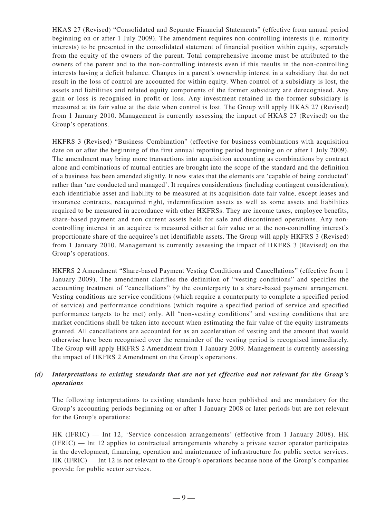HKAS 27 (Revised) "Consolidated and Separate Financial Statements" (effective from annual period beginning on or after 1 July 2009). The amendment requires non-controlling interests (i.e. minority interests) to be presented in the consolidated statement of financial position within equity, separately from the equity of the owners of the parent. Total comprehensive income must be attributed to the owners of the parent and to the non-controlling interests even if this results in the non-controlling interests having a deficit balance. Changes in a parent's ownership interest in a subsidiary that do not result in the loss of control are accounted for within equity. When control of a subsidiary is lost, the assets and liabilities and related equity components of the former subsidiary are derecognised. Any gain or loss is recognised in profit or loss. Any investment retained in the former subsidiary is measured at its fair value at the date when control is lost. The Group will apply HKAS 27 (Revised) from 1 January 2010. Management is currently assessing the impact of HKAS 27 (Revised) on the Group's operations.

HKFRS 3 (Revised) "Business Combination" (effective for business combinations with acquisition date on or after the beginning of the first annual reporting period beginning on or after 1 July 2009). The amendment may bring more transactions into acquisition accounting as combinations by contract alone and combinations of mutual entities are brought into the scope of the standard and the definition of a business has been amended slightly. It now states that the elements are 'capable of being conducted' rather than 'are conducted and managed'. It requires considerations (including contingent consideration), each identifiable asset and liability to be measured at its acquisition-date fair value, except leases and insurance contracts, reacquired right, indemnification assets as well as some assets and liabilities required to be measured in accordance with other HKFRSs. They are income taxes, employee benefits, share-based payment and non current assets held for sale and discontinued operations. Any noncontrolling interest in an acquiree is measured either at fair value or at the non-controlling interest's proportionate share of the acquiree's net identifiable assets. The Group will apply HKFRS 3 (Revised) from 1 January 2010. Management is currently assessing the impact of HKFRS 3 (Revised) on the Group's operations.

HKFRS 2 Amendment "Share-based Payment Vesting Conditions and Cancellations" (effective from 1 January 2009). The amendment clarifies the definition of "vesting conditions" and specifies the accounting treatment of "cancellations" by the counterparty to a share-based payment arrangement. Vesting conditions are service conditions (which require a counterparty to complete a specified period of service) and performance conditions (which require a specified period of service and specified performance targets to be met) only. All "non-vesting conditions" and vesting conditions that are market conditions shall be taken into account when estimating the fair value of the equity instruments granted. All cancellations are accounted for as an acceleration of vesting and the amount that would otherwise have been recognised over the remainder of the vesting period is recognised immediately. The Group will apply HKFRS 2 Amendment from 1 January 2009. Management is currently assessing the impact of HKFRS 2 Amendment on the Group's operations.

### *(d) Interpretations to existing standards that are not yet effective and not relevant for the Group's operations*

The following interpretations to existing standards have been published and are mandatory for the Group's accounting periods beginning on or after 1 January 2008 or later periods but are not relevant for the Group's operations:

HK (IFRIC) — Int 12, 'Service concession arrangements' (effective from 1 January 2008). HK (IFRIC) — Int 12 applies to contractual arrangements whereby a private sector operator participates in the development, financing, operation and maintenance of infrastructure for public sector services. HK (IFRIC) — Int 12 is not relevant to the Group's operations because none of the Group's companies provide for public sector services.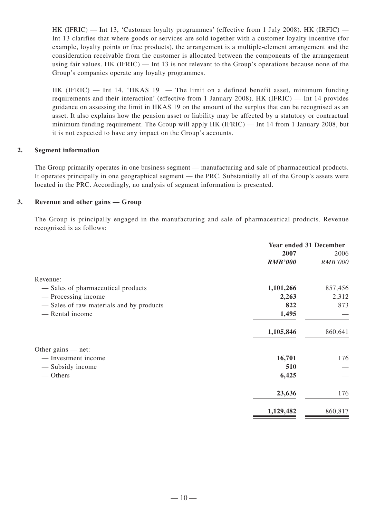HK (IFRIC) — Int 13, 'Customer loyalty programmes' (effective from 1 July 2008). HK (IRFIC) — Int 13 clarifies that where goods or services are sold together with a customer loyalty incentive (for example, loyalty points or free products), the arrangement is a multiple-element arrangement and the consideration receivable from the customer is allocated between the components of the arrangement using fair values. HK (IFRIC) — Int 13 is not relevant to the Group's operations because none of the Group's companies operate any loyalty programmes.

 $HK$  (IFRIC) — Int 14, 'HKAS 19 — The limit on a defined benefit asset, minimum funding requirements and their interaction' (effective from 1 January 2008). HK (IFRIC) — Int 14 provides guidance on assessing the limit in HKAS 19 on the amount of the surplus that can be recognised as an asset. It also explains how the pension asset or liability may be affected by a statutory or contractual minimum funding requirement. The Group will apply HK (IFRIC) — Int 14 from 1 January 2008, but it is not expected to have any impact on the Group's accounts.

#### **2. Segment information**

The Group primarily operates in one business segment — manufacturing and sale of pharmaceutical products. It operates principally in one geographical segment — the PRC. Substantially all of the Group's assets were located in the PRC. Accordingly, no analysis of segment information is presented.

#### **3. Revenue and other gains — Group**

The Group is principally engaged in the manufacturing and sale of pharmaceutical products. Revenue recognised is as follows:

|                                         | <b>Year ended 31 December</b> |                |
|-----------------------------------------|-------------------------------|----------------|
|                                         | 2007                          | 2006           |
|                                         | <b>RMB'000</b>                | <b>RMB'000</b> |
| Revenue:                                |                               |                |
| - Sales of pharmaceutical products      | 1,101,266                     | 857,456        |
| — Processing income                     | 2,263                         | 2,312          |
| -Sales of raw materials and by products | 822                           | 873            |
| - Rental income                         | 1,495                         |                |
|                                         | 1,105,846                     | 860,641        |
| Other gains $-$ net:                    |                               |                |
| — Investment income                     | 16,701                        | 176            |
| — Subsidy income                        | 510                           |                |
| — Others                                | 6,425                         |                |
|                                         | 23,636                        | 176            |
|                                         | 1,129,482                     | 860,817        |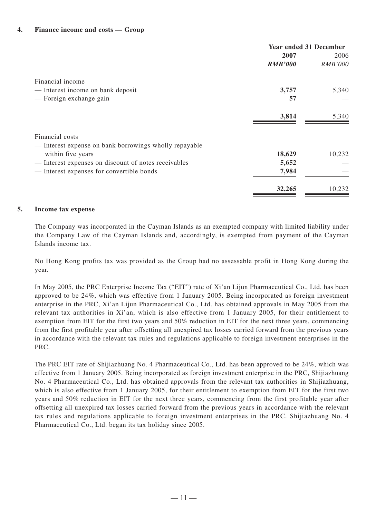#### **4. Finance income and costs — Group**

|                                                        | <b>Year ended 31 December</b> |                |
|--------------------------------------------------------|-------------------------------|----------------|
|                                                        | 2007                          | 2006           |
|                                                        | <b>RMB'000</b>                | <b>RMB'000</b> |
| Financial income                                       |                               |                |
| — Interest income on bank deposit                      | 3,757                         | 5,340          |
| — Foreign exchange gain                                | 57                            |                |
|                                                        | 3,814                         | 5,340          |
| Financial costs                                        |                               |                |
| — Interest expense on bank borrowings wholly repayable |                               |                |
| within five years                                      | 18,629                        | 10,232         |
| — Interest expenses on discount of notes receivables   | 5,652                         |                |
| - Interest expenses for convertible bonds              | 7,984                         |                |
|                                                        | 32,265                        | 10,232         |

#### **5. Income tax expense**

The Company was incorporated in the Cayman Islands as an exempted company with limited liability under the Company Law of the Cayman Islands and, accordingly, is exempted from payment of the Cayman Islands income tax.

No Hong Kong profits tax was provided as the Group had no assessable profit in Hong Kong during the year.

In May 2005, the PRC Enterprise Income Tax ("EIT") rate of Xi'an Lijun Pharmaceutical Co., Ltd. has been approved to be 24%, which was effective from 1 January 2005. Being incorporated as foreign investment enterprise in the PRC, Xi'an Lijun Pharmaceutical Co., Ltd. has obtained approvals in May 2005 from the relevant tax authorities in Xi'an, which is also effective from 1 January 2005, for their entitlement to exemption from EIT for the first two years and 50% reduction in EIT for the next three years, commencing from the first profitable year after offsetting all unexpired tax losses carried forward from the previous years in accordance with the relevant tax rules and regulations applicable to foreign investment enterprises in the PRC.

The PRC EIT rate of Shijiazhuang No. 4 Pharmaceutical Co., Ltd. has been approved to be 24%, which was effective from 1 January 2005. Being incorporated as foreign investment enterprise in the PRC, Shijiazhuang No. 4 Pharmaceutical Co., Ltd. has obtained approvals from the relevant tax authorities in Shijiazhuang, which is also effective from 1 January 2005, for their entitlement to exemption from EIT for the first two years and 50% reduction in EIT for the next three years, commencing from the first profitable year after offsetting all unexpired tax losses carried forward from the previous years in accordance with the relevant tax rules and regulations applicable to foreign investment enterprises in the PRC. Shijiazhuang No. 4 Pharmaceutical Co., Ltd. began its tax holiday since 2005.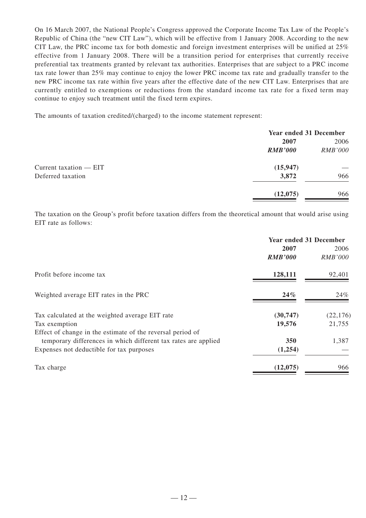On 16 March 2007, the National People's Congress approved the Corporate Income Tax Law of the People's Republic of China (the "new CIT Law"), which will be effective from 1 January 2008. According to the new CIT Law, the PRC income tax for both domestic and foreign investment enterprises will be unified at 25% effective from 1 January 2008. There will be a transition period for enterprises that currently receive preferential tax treatments granted by relevant tax authorities. Enterprises that are subject to a PRC income tax rate lower than 25% may continue to enjoy the lower PRC income tax rate and gradually transfer to the new PRC income tax rate within five years after the effective date of the new CIT Law. Enterprises that are currently entitled to exemptions or reductions from the standard income tax rate for a fixed term may continue to enjoy such treatment until the fixed term expires.

The amounts of taxation credited/(charged) to the income statement represent:

|                          | <b>Year ended 31 December</b> |                |
|--------------------------|-------------------------------|----------------|
|                          | 2007                          | 2006           |
|                          | <b>RMB'000</b>                | <b>RMB'000</b> |
| Current taxation $-$ EIT | (15, 947)                     |                |
| Deferred taxation        | 3,872                         | 966            |
|                          | (12,075)                      | 966            |

The taxation on the Group's profit before taxation differs from the theoretical amount that would arise using EIT rate as follows:

|                                                                | <b>Year ended 31 December</b> |                |
|----------------------------------------------------------------|-------------------------------|----------------|
|                                                                | 2007                          | 2006           |
|                                                                | <b>RMB'000</b>                | <b>RMB'000</b> |
| Profit before income tax                                       | 128,111                       | 92,401         |
| Weighted average EIT rates in the PRC                          | 24%                           | 24%            |
| Tax calculated at the weighted average EIT rate                | (30, 747)                     | (22, 176)      |
| Tax exemption                                                  | 19,576                        | 21,755         |
| Effect of change in the estimate of the reversal period of     |                               |                |
| temporary differences in which different tax rates are applied | 350                           | 1,387          |
| Expenses not deductible for tax purposes                       | (1,254)                       |                |
| Tax charge                                                     | (12,075)                      | 966            |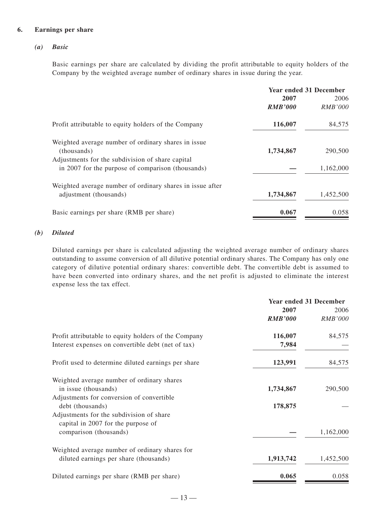#### **6. Earnings per share**

#### *(a) Basic*

Basic earnings per share are calculated by dividing the profit attributable to equity holders of the Company by the weighted average number of ordinary shares in issue during the year.

|                                                                    | <b>Year ended 31 December</b> |                |
|--------------------------------------------------------------------|-------------------------------|----------------|
|                                                                    | 2007                          | 2006           |
|                                                                    | <b>RMB'000</b>                | <b>RMB'000</b> |
| Profit attributable to equity holders of the Company               | 116,007                       | 84,575         |
| Weighted average number of ordinary shares in issue<br>(thousands) | 1,734,867                     | 290,500        |
| Adjustments for the subdivision of share capital                   |                               |                |
| in 2007 for the purpose of comparison (thousands)                  |                               | 1,162,000      |
| Weighted average number of ordinary shares in issue after          |                               |                |
| adjustment (thousands)                                             | 1,734,867                     | 1,452,500      |
| Basic earnings per share (RMB per share)                           | 0.067                         | 0.058          |

#### *(b) Diluted*

Diluted earnings per share is calculated adjusting the weighted average number of ordinary shares outstanding to assume conversion of all dilutive potential ordinary shares. The Company has only one category of dilutive potential ordinary shares: convertible debt. The convertible debt is assumed to have been converted into ordinary shares, and the net profit is adjusted to eliminate the interest expense less the tax effect.

| <b>Year ended 31 December</b> |                |
|-------------------------------|----------------|
| 2007                          | 2006           |
| <b>RMB'000</b>                | <b>RMB'000</b> |
| 116,007                       | 84,575         |
| 7,984                         |                |
| 123,991                       | 84,575         |
|                               |                |
| 1,734,867                     | 290,500        |
|                               |                |
| 178,875                       |                |
|                               |                |
|                               |                |
|                               | 1,162,000      |
|                               |                |
| 1,913,742                     | 1,452,500      |
| 0.065                         | 0.058          |
|                               |                |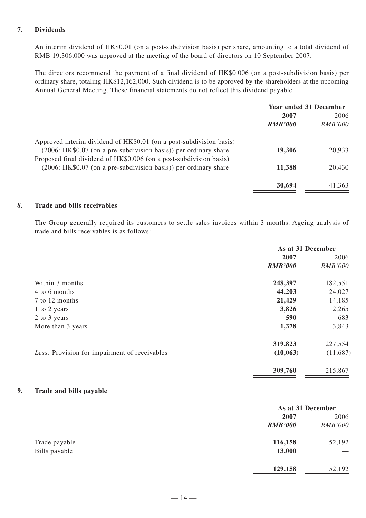#### **7. Dividends**

An interim dividend of HK\$0.01 (on a post-subdivision basis) per share, amounting to a total dividend of RMB 19,306,000 was approved at the meeting of the board of directors on 10 September 2007.

The directors recommend the payment of a final dividend of HK\$0.006 (on a post-subdivision basis) per ordinary share, totaling HK\$12,162,000. Such dividend is to be approved by the shareholders at the upcoming Annual General Meeting. These financial statements do not reflect this dividend payable.

|                                                                     | <b>Year ended 31 December</b> |                |
|---------------------------------------------------------------------|-------------------------------|----------------|
|                                                                     | 2007                          | 2006           |
|                                                                     | <b>RMB'000</b>                | <i>RMB'000</i> |
| Approved interim dividend of HK\$0.01 (on a post-subdivision basis) |                               |                |
| (2006: HK\$0.07 (on a pre-subdivision basis)) per ordinary share    | 19,306                        | 20,933         |
| Proposed final dividend of HK\$0.006 (on a post-subdivision basis)  |                               |                |
| (2006: HK\$0.07 (on a pre-subdivision basis)) per ordinary share    | 11,388                        | 20,430         |
|                                                                     | 30,694                        | 41,363         |

#### *8***. Trade and bills receivables**

The Group generally required its customers to settle sales invoices within 3 months. Ageing analysis of trade and bills receivables is as follows:

|                                               | As at 31 December |                |
|-----------------------------------------------|-------------------|----------------|
|                                               | 2007              | 2006           |
|                                               | <b>RMB'000</b>    | <b>RMB'000</b> |
| Within 3 months                               | 248,397           | 182,551        |
| 4 to 6 months                                 | 44,203            | 24,027         |
| 7 to 12 months                                | 21,429            | 14,185         |
| 1 to 2 years                                  | 3,826             | 2,265          |
| 2 to 3 years                                  | 590               | 683            |
| More than 3 years                             | 1,378             | 3,843          |
|                                               | 319,823           | 227,554        |
| Less: Provision for impairment of receivables | (10, 063)         | (11,687)       |
|                                               | 309,760           | 215,867        |

#### **9. Trade and bills payable**

|               |                | As at 31 December |  |
|---------------|----------------|-------------------|--|
|               | 2007           | 2006              |  |
|               | <b>RMB'000</b> | <b>RMB'000</b>    |  |
| Trade payable | 116,158        | 52,192            |  |
| Bills payable | 13,000         |                   |  |
|               | 129,158        | 52,192            |  |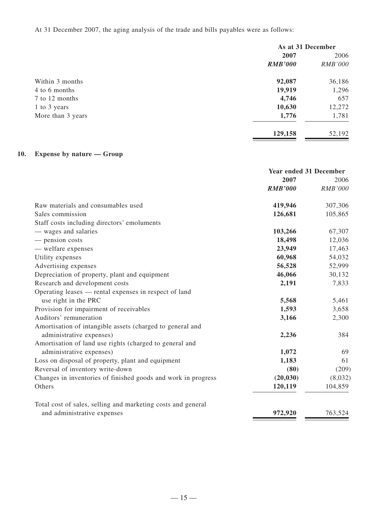At 31 December 2007, the aging analysis of the trade and bills payables were as follows:

|                   | As at 31 December |                |
|-------------------|-------------------|----------------|
|                   | 2007              | 2006           |
|                   | <b>RMB'000</b>    | <i>RMB'000</i> |
| Within 3 months   | 92,087            | 36,186         |
| 4 to 6 months     | 19,919            | 1,296          |
| 7 to 12 months    | 4,746             | 657            |
| 1 to 3 years      | 10,630            | 12,272         |
| More than 3 years | 1,776             | 1,781          |
|                   | 129,158           | 52,192         |

# **10. Expense by nature — Group**

|                                                               | <b>Year ended 31 December</b> |         |
|---------------------------------------------------------------|-------------------------------|---------|
|                                                               | 2007                          | 2006    |
|                                                               | <b>RMB'000</b>                | RMB'000 |
| Raw materials and consumables used                            | 419,946                       | 307,306 |
| Sales commission                                              | 126,681                       | 105,865 |
| Staff costs including directors' emoluments                   |                               |         |
| — wages and salaries                                          | 103,266                       | 67,307  |
| — pension costs                                               | 18,498                        | 12,036  |
| - welfare expenses                                            | 23,949                        | 17,463  |
| Utility expenses                                              | 60,968                        | 54,032  |
| Advertising expenses                                          | 56,528                        | 52,999  |
| Depreciation of property, plant and equipment                 | 46,066                        | 30,132  |
| Research and development costs                                | 2,191                         | 7,833   |
| Operating leases — rental expenses in respect of land         |                               |         |
| use right in the PRC                                          | 5,568                         | 5,461   |
| Provision for impairment of receivables                       | 1,593                         | 3,658   |
| Auditors' remuneration                                        | 3,166                         | 2,300   |
| Amortisation of intangible assets (charged to general and     |                               |         |
| administrative expenses)                                      | 2,236                         | 384     |
| Amortisation of land use rights (charged to general and       |                               |         |
| administrative expenses)                                      | 1,072                         | 69      |
| Loss on disposal of property, plant and equipment             | 1,183                         | 61      |
| Reversal of inventory write-down                              | (80)                          | (209)   |
| Changes in inventories of finished goods and work in progress | (20, 030)                     | (8,032) |
| Others                                                        | 120,119                       | 104,859 |
| Total cost of sales, selling and marketing costs and general  |                               |         |
| and administrative expenses                                   | 972,920                       | 763,524 |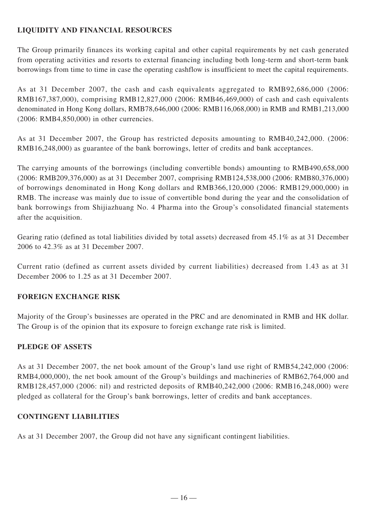# **LIQUIDITY AND FINANCIAL RESOURCES**

The Group primarily finances its working capital and other capital requirements by net cash generated from operating activities and resorts to external financing including both long-term and short-term bank borrowings from time to time in case the operating cashflow is insufficient to meet the capital requirements.

As at 31 December 2007, the cash and cash equivalents aggregated to RMB92,686,000 (2006: RMB167,387,000), comprising RMB12,827,000 (2006: RMB46,469,000) of cash and cash equivalents denominated in Hong Kong dollars, RMB78,646,000 (2006: RMB116,068,000) in RMB and RMB1,213,000 (2006: RMB4,850,000) in other currencies.

As at 31 December 2007, the Group has restricted deposits amounting to RMB40,242,000. (2006: RMB16,248,000) as guarantee of the bank borrowings, letter of credits and bank acceptances.

The carrying amounts of the borrowings (including convertible bonds) amounting to RMB490,658,000 (2006: RMB209,376,000) as at 31 December 2007, comprising RMB124,538,000 (2006: RMB80,376,000) of borrowings denominated in Hong Kong dollars and RMB366,120,000 (2006: RMB129,000,000) in RMB. The increase was mainly due to issue of convertible bond during the year and the consolidation of bank borrowings from Shijiazhuang No. 4 Pharma into the Group's consolidated financial statements after the acquisition.

Gearing ratio (defined as total liabilities divided by total assets) decreased from 45.1% as at 31 December 2006 to 42.3% as at 31 December 2007.

Current ratio (defined as current assets divided by current liabilities) decreased from 1.43 as at 31 December 2006 to 1.25 as at 31 December 2007.

## **FOREIGN EXCHANGE RISK**

Majority of the Group's businesses are operated in the PRC and are denominated in RMB and HK dollar. The Group is of the opinion that its exposure to foreign exchange rate risk is limited.

## **PLEDGE OF ASSETS**

As at 31 December 2007, the net book amount of the Group's land use right of RMB54,242,000 (2006: RMB4,000,000), the net book amount of the Group's buildings and machineries of RMB62,764,000 and RMB128,457,000 (2006: nil) and restricted deposits of RMB40,242,000 (2006: RMB16,248,000) were pledged as collateral for the Group's bank borrowings, letter of credits and bank acceptances.

## **CONTINGENT LIABILITIES**

As at 31 December 2007, the Group did not have any significant contingent liabilities.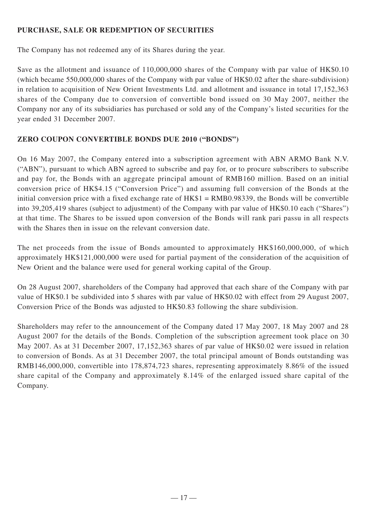# **PURCHASE, SALE OR REDEMPTION OF SECURITIES**

The Company has not redeemed any of its Shares during the year.

Save as the allotment and issuance of 110,000,000 shares of the Company with par value of HK\$0.10 (which became 550,000,000 shares of the Company with par value of HK\$0.02 after the share-subdivision) in relation to acquisition of New Orient Investments Ltd. and allotment and issuance in total 17,152,363 shares of the Company due to conversion of convertible bond issued on 30 May 2007, neither the Company nor any of its subsidiaries has purchased or sold any of the Company's listed securities for the year ended 31 December 2007.

# **ZERO COUPON CONVERTIBLE BONDS DUE 2010 ("BONDS")**

On 16 May 2007, the Company entered into a subscription agreement with ABN ARMO Bank N.V. ("ABN"), pursuant to which ABN agreed to subscribe and pay for, or to procure subscribers to subscribe and pay for, the Bonds with an aggregate principal amount of RMB160 million. Based on an initial conversion price of HK\$4.15 ("Conversion Price") and assuming full conversion of the Bonds at the initial conversion price with a fixed exchange rate of HK\$1 = RMB0.98339, the Bonds will be convertible into 39,205,419 shares (subject to adjustment) of the Company with par value of HK\$0.10 each ("Shares") at that time. The Shares to be issued upon conversion of the Bonds will rank pari passu in all respects with the Shares then in issue on the relevant conversion date.

The net proceeds from the issue of Bonds amounted to approximately HK\$160,000,000, of which approximately HK\$121,000,000 were used for partial payment of the consideration of the acquisition of New Orient and the balance were used for general working capital of the Group.

On 28 August 2007, shareholders of the Company had approved that each share of the Company with par value of HK\$0.1 be subdivided into 5 shares with par value of HK\$0.02 with effect from 29 August 2007, Conversion Price of the Bonds was adjusted to HK\$0.83 following the share subdivision.

Shareholders may refer to the announcement of the Company dated 17 May 2007, 18 May 2007 and 28 August 2007 for the details of the Bonds. Completion of the subscription agreement took place on 30 May 2007. As at 31 December 2007, 17,152,363 shares of par value of HK\$0.02 were issued in relation to conversion of Bonds. As at 31 December 2007, the total principal amount of Bonds outstanding was RMB146,000,000, convertible into 178,874,723 shares, representing approximately 8.86% of the issued share capital of the Company and approximately 8.14% of the enlarged issued share capital of the Company.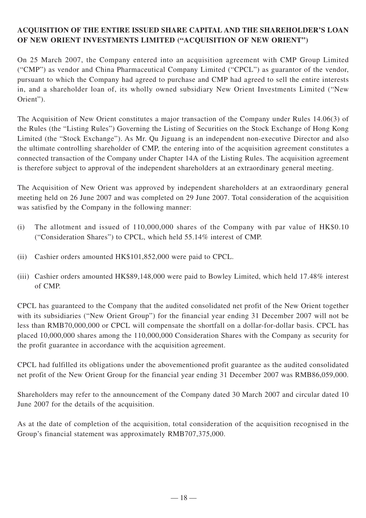# **ACQUISITION OF THE ENTIRE ISSUED SHARE CAPITAL AND THE SHAREHOLDER'S LOAN OF NEW ORIENT INVESTMENTS LIMITED ("ACQUISITION OF NEW ORIENT")**

On 25 March 2007, the Company entered into an acquisition agreement with CMP Group Limited ("CMP") as vendor and China Pharmaceutical Company Limited ("CPCL") as guarantor of the vendor, pursuant to which the Company had agreed to purchase and CMP had agreed to sell the entire interests in, and a shareholder loan of, its wholly owned subsidiary New Orient Investments Limited ("New Orient").

The Acquisition of New Orient constitutes a major transaction of the Company under Rules 14.06(3) of the Rules (the "Listing Rules") Governing the Listing of Securities on the Stock Exchange of Hong Kong Limited (the "Stock Exchange"). As Mr. Qu Jiguang is an independent non-executive Director and also the ultimate controlling shareholder of CMP, the entering into of the acquisition agreement constitutes a connected transaction of the Company under Chapter 14A of the Listing Rules. The acquisition agreement is therefore subject to approval of the independent shareholders at an extraordinary general meeting.

The Acquisition of New Orient was approved by independent shareholders at an extraordinary general meeting held on 26 June 2007 and was completed on 29 June 2007. Total consideration of the acquisition was satisfied by the Company in the following manner:

- (i) The allotment and issued of 110,000,000 shares of the Company with par value of HK\$0.10 ("Consideration Shares") to CPCL, which held 55.14% interest of CMP.
- (ii) Cashier orders amounted HK\$101,852,000 were paid to CPCL.
- (iii) Cashier orders amounted HK\$89,148,000 were paid to Bowley Limited, which held 17.48% interest of CMP.

CPCL has guaranteed to the Company that the audited consolidated net profit of the New Orient together with its subsidiaries ("New Orient Group") for the financial year ending 31 December 2007 will not be less than RMB70,000,000 or CPCL will compensate the shortfall on a dollar-for-dollar basis. CPCL has placed 10,000,000 shares among the 110,000,000 Consideration Shares with the Company as security for the profit guarantee in accordance with the acquisition agreement.

CPCL had fulfilled its obligations under the abovementioned profit guarantee as the audited consolidated net profit of the New Orient Group for the financial year ending 31 December 2007 was RMB86,059,000.

Shareholders may refer to the announcement of the Company dated 30 March 2007 and circular dated 10 June 2007 for the details of the acquisition.

As at the date of completion of the acquisition, total consideration of the acquisition recognised in the Group's financial statement was approximately RMB707,375,000.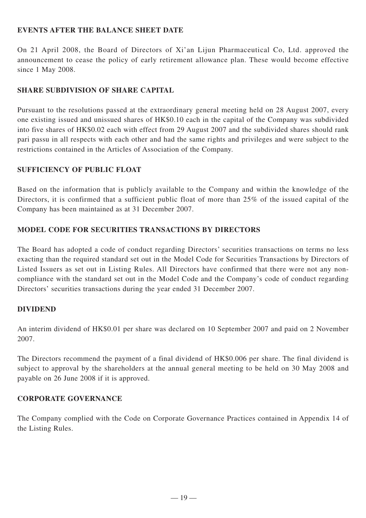## **EVENTS AFTER THE BALANCE SHEET DATE**

On 21 April 2008, the Board of Directors of Xi'an Lijun Pharmaceutical Co, Ltd. approved the announcement to cease the policy of early retirement allowance plan. These would become effective since 1 May 2008.

## **SHARE SUBDIVISION OF SHARE CAPITAL**

Pursuant to the resolutions passed at the extraordinary general meeting held on 28 August 2007, every one existing issued and unissued shares of HK\$0.10 each in the capital of the Company was subdivided into five shares of HK\$0.02 each with effect from 29 August 2007 and the subdivided shares should rank pari passu in all respects with each other and had the same rights and privileges and were subject to the restrictions contained in the Articles of Association of the Company.

## **SUFFICIENCY OF PUBLIC FLOAT**

Based on the information that is publicly available to the Company and within the knowledge of the Directors, it is confirmed that a sufficient public float of more than 25% of the issued capital of the Company has been maintained as at 31 December 2007.

# **MODEL CODE FOR SECURITIES TRANSACTIONS BY DIRECTORS**

The Board has adopted a code of conduct regarding Directors' securities transactions on terms no less exacting than the required standard set out in the Model Code for Securities Transactions by Directors of Listed Issuers as set out in Listing Rules. All Directors have confirmed that there were not any noncompliance with the standard set out in the Model Code and the Company's code of conduct regarding Directors' securities transactions during the year ended 31 December 2007.

## **DIVIDEND**

An interim dividend of HK\$0.01 per share was declared on 10 September 2007 and paid on 2 November 2007.

The Directors recommend the payment of a final dividend of HK\$0.006 per share. The final dividend is subject to approval by the shareholders at the annual general meeting to be held on 30 May 2008 and payable on 26 June 2008 if it is approved.

## **CORPORATE GOVERNANCE**

The Company complied with the Code on Corporate Governance Practices contained in Appendix 14 of the Listing Rules.